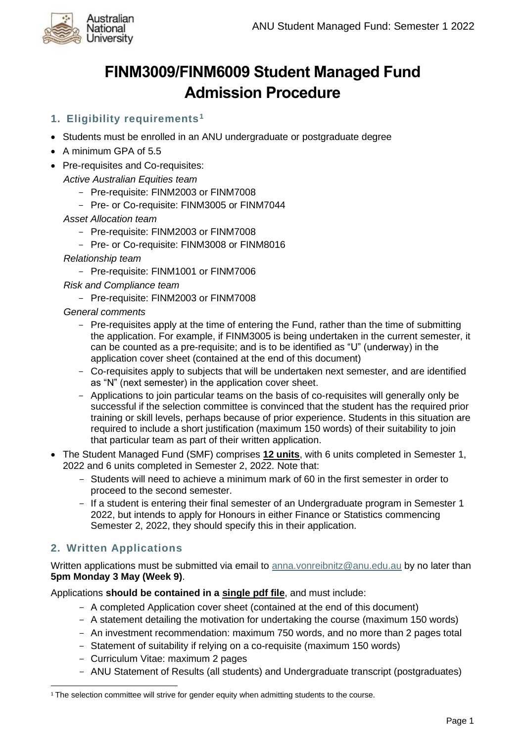

# **FINM3009/FINM6009 Student Managed Fund Admission Procedure**

# **1. Eligibility requirements<sup>1</sup>**

- Students must be enrolled in an ANU undergraduate or postgraduate degree
- A minimum GPA of 5.5
- Pre-requisites and Co-requisites:

*Active Australian Equities team*

- Pre-requisite: FINM2003 or FINM7008
- Pre- or Co-requisite: FINM3005 or FINM7044
- *Asset Allocation team*
	- Pre-requisite: FINM2003 or FINM7008
	- Pre- or Co-requisite: FINM3008 or FINM8016

*Relationship team*

- Pre-requisite: FINM1001 or FINM7006

*Risk and Compliance team*

- Pre-requisite: FINM2003 or FINM7008

*General comments*

- Pre-requisites apply at the time of entering the Fund, rather than the time of submitting the application. For example, if FINM3005 is being undertaken in the current semester, it can be counted as a pre-requisite; and is to be identified as "U" (underway) in the application cover sheet (contained at the end of this document)
- Co-requisites apply to subjects that will be undertaken next semester, and are identified as "N" (next semester) in the application cover sheet.
- Applications to join particular teams on the basis of co-requisites will generally only be successful if the selection committee is convinced that the student has the required prior training or skill levels, perhaps because of prior experience. Students in this situation are required to include a short justification (maximum 150 words) of their suitability to join that particular team as part of their written application.
- The Student Managed Fund (SMF) comprises **12 units**, with 6 units completed in Semester 1, 2022 and 6 units completed in Semester 2, 2022. Note that:
	- Students will need to achieve a minimum mark of 60 in the first semester in order to proceed to the second semester.
	- If a student is entering their final semester of an Undergraduate program in Semester 1 2022, but intends to apply for Honours in either Finance or Statistics commencing Semester 2, 2022, they should specify this in their application.

## **2. Written Applications**

Written applications must be submitted via email to [anna.vonreibnitz@anu.edu.au](mailto:anna.vonreibnitz@anu.edu.au) by no later than **5pm Monday 3 May (Week 9)**.

Applications **should be contained in a single pdf file**, and must include:

- A completed Application cover sheet (contained at the end of this document)
- A statement detailing the motivation for undertaking the course (maximum 150 words)
- An investment recommendation: maximum 750 words, and no more than 2 pages total
- Statement of suitability if relying on a co-requisite (maximum 150 words)
- Curriculum Vitae: maximum 2 pages
- ANU Statement of Results (all students) and Undergraduate transcript (postgraduates)

<sup>&</sup>lt;sup>1</sup> The selection committee will strive for gender equity when admitting students to the course.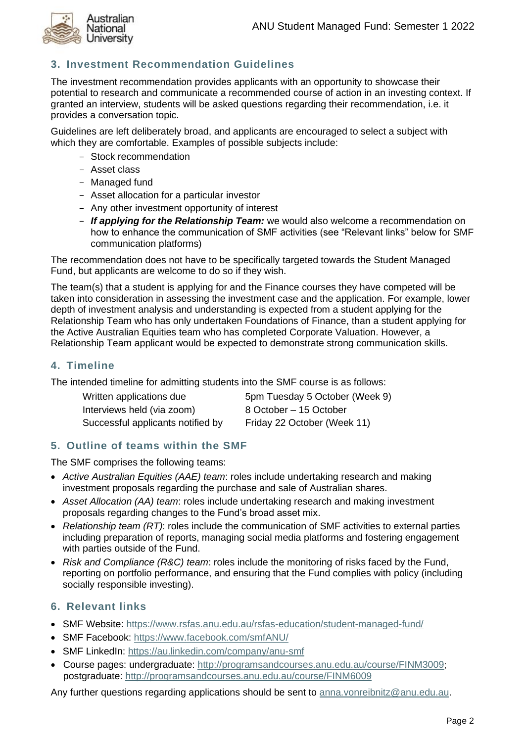

# **3. Investment Recommendation Guidelines**

The investment recommendation provides applicants with an opportunity to showcase their potential to research and communicate a recommended course of action in an investing context. If granted an interview, students will be asked questions regarding their recommendation, i.e. it provides a conversation topic.

Guidelines are left deliberately broad, and applicants are encouraged to select a subject with which they are comfortable. Examples of possible subjects include:

- Stock recommendation
- Asset class
- Managed fund
- Asset allocation for a particular investor
- Any other investment opportunity of interest
- *If applying for the Relationship Team:* we would also welcome a recommendation on how to enhance the communication of SMF activities (see "Relevant links" below for SMF communication platforms)

The recommendation does not have to be specifically targeted towards the Student Managed Fund, but applicants are welcome to do so if they wish.

The team(s) that a student is applying for and the Finance courses they have competed will be taken into consideration in assessing the investment case and the application. For example, lower depth of investment analysis and understanding is expected from a student applying for the Relationship Team who has only undertaken Foundations of Finance, than a student applying for the Active Australian Equities team who has completed Corporate Valuation. However, a Relationship Team applicant would be expected to demonstrate strong communication skills.

#### **4. Timeline**

The intended timeline for admitting students into the SMF course is as follows:

| Written applications due          | 5pm Tuesday 5 October (Week 9) |
|-----------------------------------|--------------------------------|
| Interviews held (via zoom)        | 8 October – 15 October         |
| Successful applicants notified by | Friday 22 October (Week 11)    |

#### **5. Outline of teams within the SMF**

The SMF comprises the following teams:

- *Active Australian Equities (AAE) team*: roles include undertaking research and making investment proposals regarding the purchase and sale of Australian shares.
- *Asset Allocation (AA) team*: roles include undertaking research and making investment proposals regarding changes to the Fund's broad asset mix.
- *Relationship team (RT)*: roles include the communication of SMF activities to external parties including preparation of reports, managing social media platforms and fostering engagement with parties outside of the Fund.
- *Risk and Compliance (R&C) team*: roles include the monitoring of risks faced by the Fund, reporting on portfolio performance, and ensuring that the Fund complies with policy (including socially responsible investing).

## **6. Relevant links**

- SMF Website:<https://www.rsfas.anu.edu.au/rsfas-education/student-managed-fund/>
- SMF Facebook:<https://www.facebook.com/smfANU/>
- SMF LinkedIn:<https://au.linkedin.com/company/anu-smf>
- Course pages: undergraduate:<http://programsandcourses.anu.edu.au/course/FINM3009>; postgraduate:<http://programsandcourses.anu.edu.au/course/FINM6009>

Any further questions regarding applications should be sent to [anna.vonreibnitz@anu.edu.au.](mailto:anna.vonreibnitz@anu.edu.au)